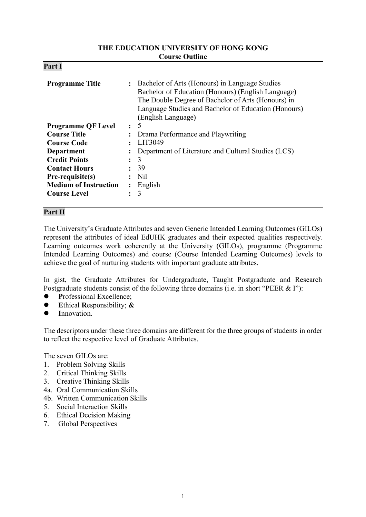#### **THE EDUCATION UNIVERSITY OF HONG KONG Course Outline**

| D.<br>'ar<br>4. |  |
|-----------------|--|
|-----------------|--|

| <b>Programme Title</b>       | $\ddot{\phantom{a}}$ | Bachelor of Arts (Honours) in Language Studies<br>Bachelor of Education (Honours) (English Language)<br>The Double Degree of Bachelor of Arts (Honours) in<br>Language Studies and Bachelor of Education (Honours)<br>(English Language) |
|------------------------------|----------------------|------------------------------------------------------------------------------------------------------------------------------------------------------------------------------------------------------------------------------------------|
| <b>Programme QF Level</b>    | $\ddot{\cdot}$       | 5                                                                                                                                                                                                                                        |
| <b>Course Title</b>          | $\ddot{\phantom{a}}$ | Drama Performance and Playwriting                                                                                                                                                                                                        |
| <b>Course Code</b>           |                      | LIT3049                                                                                                                                                                                                                                  |
| <b>Department</b>            |                      | Department of Literature and Cultural Studies (LCS)                                                                                                                                                                                      |
| <b>Credit Points</b>         | $\ddot{\cdot}$       | 3                                                                                                                                                                                                                                        |
| <b>Contact Hours</b>         | $\ddot{\cdot}$       | 39                                                                                                                                                                                                                                       |
| Pre-requisite(s)             |                      | Nil                                                                                                                                                                                                                                      |
| <b>Medium of Instruction</b> | $\ddot{\cdot}$       | English                                                                                                                                                                                                                                  |
| <b>Course Level</b>          |                      | 3                                                                                                                                                                                                                                        |

## **Part II**

The University's Graduate Attributes and seven Generic Intended Learning Outcomes (GILOs) represent the attributes of ideal EdUHK graduates and their expected qualities respectively. Learning outcomes work coherently at the University (GILOs), programme (Programme Intended Learning Outcomes) and course (Course Intended Learning Outcomes) levels to achieve the goal of nurturing students with important graduate attributes.

In gist, the Graduate Attributes for Undergraduate, Taught Postgraduate and Research Postgraduate students consist of the following three domains (i.e. in short "PEER & I"):

- **P**rofessional **E**xcellence;
- **E**thical **R**esponsibility; **&**
- **I**nnovation.

The descriptors under these three domains are different for the three groups of students in order to reflect the respective level of Graduate Attributes.

The seven GILOs are:

- 1. Problem Solving Skills
- 2. Critical Thinking Skills
- 3. Creative Thinking Skills
- 4a. Oral Communication Skills
- 4b. Written Communication Skills
- 5. Social Interaction Skills
- 6. Ethical Decision Making
- 7. Global Perspectives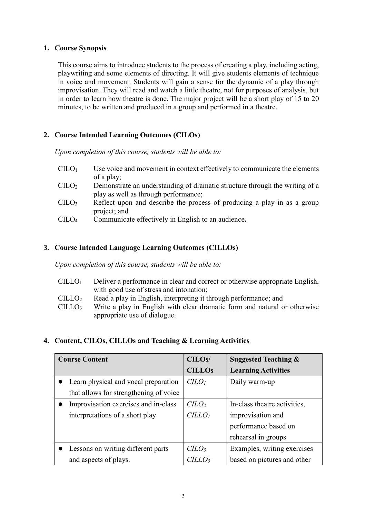### **1. Course Synopsis**

This course aims to introduce students to the process of creating a play, including acting, playwriting and some elements of directing. It will give students elements of technique in voice and movement. Students will gain a sense for the dynamic of a play through improvisation. They will read and watch a little theatre, not for purposes of analysis, but in order to learn how theatre is done. The major project will be a short play of 15 to 20 minutes, to be written and produced in a group and performed in a theatre.

## **2. Course Intended Learning Outcomes (CILOs)**

*Upon completion of this course, students will be able to:*

| CLLO <sub>1</sub> | Use voice and movement in context effectively to communicate the elements |
|-------------------|---------------------------------------------------------------------------|
|                   | of a play;                                                                |

- CILO<sup>2</sup> Demonstrate an understanding of dramatic structure through the writing of a play as well as through performance;
- $\text{CILO}_3$  Reflect upon and describe the process of producing a play in as a group project; and
- CILO<sup>4</sup> Communicate effectively in English to an audience**.**

## **3. Course Intended Language Learning Outcomes (CILLOs)**

*Upon completion of this course, students will be able to:*

- CILLO<sup>1</sup> Deliver a performance in clear and correct or otherwise appropriate English, with good use of stress and intonation;
- CILLO<sup>2</sup> Read a play in English, interpreting it through performance; and
- $CILLO<sub>3</sub>$  Write a play in English with clear dramatic form and natural or otherwise appropriate use of dialogue.

## **4. Content, CILOs, CILLOs and Teaching & Learning Activities**

| <b>Course Content</b>                  | CILO <sub>s</sub> /         | <b>Suggested Teaching &amp;</b> |
|----------------------------------------|-----------------------------|---------------------------------|
|                                        | <b>CILLOs</b>               | <b>Learning Activities</b>      |
| Learn physical and vocal preparation   | C <sub>LO<sub>l</sub></sub> | Daily warm-up                   |
| that allows for strengthening of voice |                             |                                 |
| Improvisation exercises and in-class   | $C LO$                      | In-class theatre activities,    |
| interpretations of a short play        | CILLO <sub>1</sub>          | improvisation and               |
|                                        |                             | performance based on            |
|                                        |                             | rehearsal in groups             |
| Lessons on writing different parts     | $C LO_3$                    | Examples, writing exercises     |
| and aspects of plays.                  | <i>CILLO3</i>               | based on pictures and other     |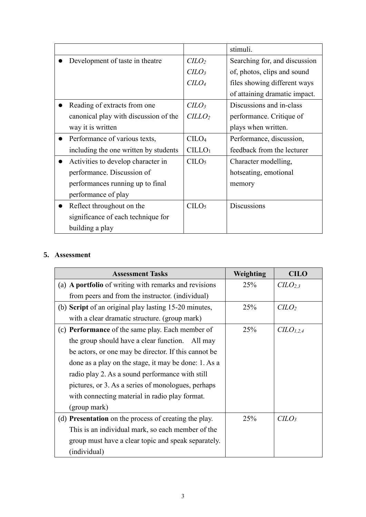|                                       |                                | stimuli.                      |  |
|---------------------------------------|--------------------------------|-------------------------------|--|
| Development of taste in theatre       | C <sub>LO</sub>                | Searching for, and discussion |  |
|                                       | C <sub>LO<sub>3</sub></sub>    | of, photos, clips and sound   |  |
|                                       | C <sub>LO</sub>                | files showing different ways  |  |
|                                       |                                | of attaining dramatic impact. |  |
| Reading of extracts from one          | C <sub>LO<sub>3</sub></sub>    | Discussions and in-class      |  |
| canonical play with discussion of the | CILLO <sub>2</sub>             | performance. Critique of      |  |
| way it is written                     |                                | plays when written.           |  |
| Performance of various texts,         | C <sub>1</sub> CO <sub>4</sub> | Performance, discussion,      |  |
| including the one written by students | CILLO <sub>1</sub>             | feedback from the lecturer    |  |
| Activities to develop character in    | C <sub>LO<sub>5</sub></sub>    | Character modelling,          |  |
| performance. Discussion of            |                                | hotseating, emotional         |  |
| performances running up to final      |                                | memory                        |  |
| performance of play                   |                                |                               |  |
| Reflect throughout on the             | C <sub>LO</sub>                | <b>Discussions</b>            |  |
| significance of each technique for    |                                |                               |  |
| building a play                       |                                |                               |  |

# **5. Assessment**

| <b>Assessment Tasks</b>                                 | Weighting | <b>CILO</b>                     |
|---------------------------------------------------------|-----------|---------------------------------|
| (a) A portfolio of writing with remarks and revisions   | 25%       | C <sub>L</sub> O <sub>2,3</sub> |
| from peers and from the instructor. (individual)        |           |                                 |
| (b) Script of an original play lasting 15-20 minutes,   | 25%       | C <sub>LO</sub>                 |
| with a clear dramatic structure. (group mark)           |           |                                 |
| (c) <b>Performance</b> of the same play. Each member of | 25%       | $CLO_{1,2,4}$                   |
| the group should have a clear function. All may         |           |                                 |
| be actors, or one may be director. If this cannot be    |           |                                 |
| done as a play on the stage, it may be done: 1. As a    |           |                                 |
| radio play 2. As a sound performance with still         |           |                                 |
| pictures, or 3. As a series of monologues, perhaps      |           |                                 |
| with connecting material in radio play format.          |           |                                 |
| (group mark)                                            |           |                                 |
| (d) Presentation on the process of creating the play.   | 25%       | $C LO_3$                        |
| This is an individual mark, so each member of the       |           |                                 |
| group must have a clear topic and speak separately.     |           |                                 |
| (individual)                                            |           |                                 |